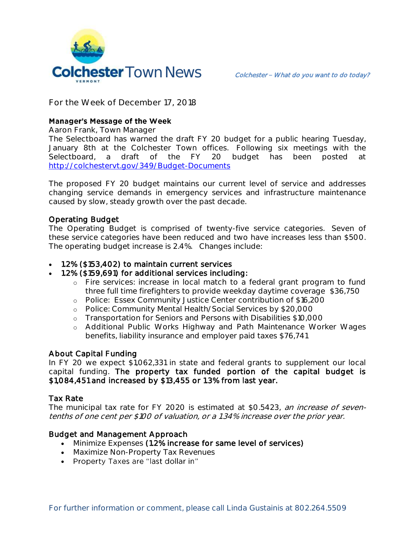

**For the Week of December 17, 2018**

# **Manager's Message of the Week**

**Aaron Frank, Town Manager**

The Selectboard has warned the draft FY 20 budget for a public hearing Tuesday, January 8th at the Colchester Town offices. Following six meetings with the Selectboard, a draft of the FY 20 budget has been posted at <http://colchestervt.gov/349/Budget-Documents>

The proposed FY 20 budget maintains our current level of service and addresses changing service demands in emergency services and infrastructure maintenance caused by slow, steady growth over the past decade.

# Operating Budget

The Operating Budget is comprised of twenty-five service categories. Seven of these service categories have been reduced and two have increases less than \$500. The operating budget increase is 2.4%. Changes include:

#### 1.2% (\$153,402) to maintain current services

### 1.2% (\$159,691) for additional services including:

- o Fire services: increase in local match to a federal grant program to fund three full time firefighters to provide weekday daytime coverage \$36,750
- o Police: Essex Community Justice Center contribution of \$16,200
- o Police: Community Mental Health/Social Services by \$20,000
- o Transportation for Seniors and Persons with Disabilities \$10,000
- o Additional Public Works Highway and Path Maintenance Worker Wages benefits, liability insurance and employer paid taxes \$76,741

# About Capital Funding

In FY 20 we expect \$1,062,331 in state and federal grants to supplement our local capital funding. The property tax funded portion of the capital budget is \$1,084,451 and increased by \$13,455 or 1.3% from last year.

# Tax Rate

The municipal tax rate for FY 2020 is estimated at \$0.5423, an increase of seventenths of one cent per \$100 of valuation, or a 1.34% increase over the prior year.

# Budget and Management Approach

- Minimize Expenses (1.2% increase for same level of services)
- Maximize Non-Property Tax Revenues
- Property Taxes are "last dollar in"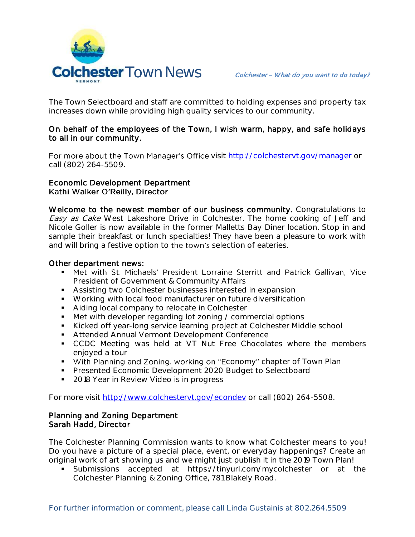

The Town Selectboard and staff are committed to holding expenses and property tax increases down while providing high quality services to our community.

#### On behalf of the employees of the Town, I wish warm, happy, and safe holidays to all in our community.

For more about the Town Manager's Office visit<http://colchestervt.gov/manager> or call (802) 264-5509.

#### Economic Development Department Kathi Walker O'Reilly, Director

Welcome to the newest member of our business community. Congratulations to Easy as Cake West Lakeshore Drive in Colchester. The home cooking of Jeff and Nicole Goller is now available in the former Malletts Bay Diner location. Stop in and sample their breakfast or lunch specialties! They have been a pleasure to work with and will bring a festive option to the town's selection of eateries.

#### Other department news:

- " Met with St. Michaels' President Lorraine Sterritt and Patrick Gallivan, Vice President of Government & Community Affairs
- **Assisting two Colchester businesses interested in expansion**
- **Working with local food manufacturer on future diversification**
- Aiding local company to relocate in Colchester
- Met with developer regarding lot zoning / commercial options
- Kicked off year-long service learning project at Colchester Middle school
- **Attended Annual Vermont Development Conference**
- **CCDC** Meeting was held at VT Nut Free Chocolates where the members enjoyed a tour
- With Planning and Zoning, working on "Economy" chapter of Town Plan
- **Presented Economic Development 2020 Budget to Selectboard**
- **2018 Year in Review Video is in progress**

For more visit [http://www.colchestervt.gov/e](http://www.colchestervt.gov/)condev or call (802) 264-5508.

#### Planning and Zoning Department Sarah Hadd, Director

The Colchester Planning Commission wants to know what Colchester means to you! Do you have a picture of a special place, event, or everyday happenings? Create an original work of art showing us and we might just publish it in the 2019 Town Plan!

 Submissions accepted at https://tinyurl.com/mycolchester or at the Colchester Planning & Zoning Office, 781 Blakely Road.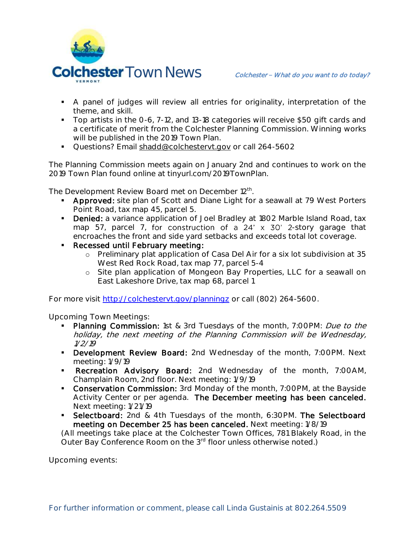

- A panel of judges will review all entries for originality, interpretation of the theme, and skill.
- Top artists in the 0-6, 7-12, and 13-18 categories will receive \$50 gift cards and a certificate of merit from the Colchester Planning Commission. Winning works will be published in the 2019 Town Plan.
- Questions? Email shadd@colchestervt.gov or call 264-5602

The Planning Commission meets again on January 2nd and continues to work on the 2019 Town Plan found online at tinyurl.com/2019TownPlan.

The Development Review Board met on December 12<sup>th</sup>.

- **Approved:** site plan of Scott and Diane Light for a seawall at 79 West Porters Point Road, tax map 45, parcel 5.
- Denied: a variance application of Joel Bradley at 1802 Marble Island Road, tax map 57, parcel 7, for construction of a  $24' \times 30'$  2-story garage that encroaches the front and side yard setbacks and exceeds total lot coverage.
- **Recessed until February meeting:** 
	- o Preliminary plat application of Casa Del Air for a six lot subdivision at 35 West Red Rock Road, tax map 77, parcel 5-4
	- o Site plan application of Mongeon Bay Properties, LLC for a seawall on East Lakeshore Drive, tax map 68, parcel 1

For more visit<http://colchestervt.gov/planningz> or call (802) 264-5600.

**Upcoming Town Meetings:** 

- Planning Commission: 1st & 3rd Tuesdays of the month, 7:00PM: Due to the holiday, the next meeting of the Planning Commission will be Wednesday, 1/2/19
- **Development Review Board:** 2nd Wednesday of the month, 7:00PM. Next meeting: 1/9/19
- **Recreation Advisory Board:** 2nd Wednesday of the month, 7:00AM, Champlain Room, 2nd floor. Next meeting: 1/9/19
- **Conservation Commission:** 3rd Monday of the month, 7:00PM, at the Bayside Activity Center or per agenda. The December meeting has been canceled. Next meeting: 1/21/19
- **Selectboard:** 2nd & 4th Tuesdays of the month, 6:30PM. The Selectboard meeting on December 25 has been canceled. Next meeting: 1/8/19

(All meetings take place at the Colchester Town Offices, 781 Blakely Road, in the Outer Bay Conference Room on the 3rd floor unless otherwise noted.)

**Upcoming events:**